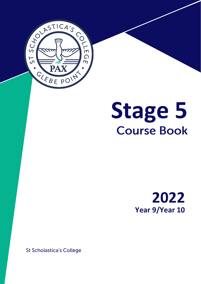

# Stage 5<br>Course Book



**St Scholastica's College**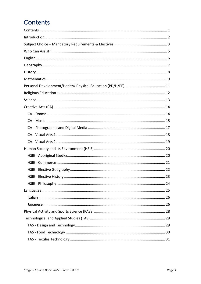# Contents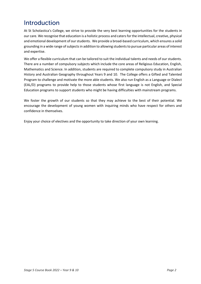# <span id="page-2-0"></span>Introduction

At St Scholastica's College, we strive to provide the very best learning opportunities for the students in our care. We recognise that education is a holistic process and catersfor the intellectual, creative, physical and emotional development of our students. We provide a broad-based curriculum, which ensures a solid grounding in a wide range of subjects in addition to allowing students to pursue particular areas of interest and expertise.

We offer a flexible curriculum that can be tailored to suit the individual talents and needs of our students. There are a number of compulsory subjects which include the core areas of Religious Education, English, Mathematics and Science. In addition, students are required to complete compulsory study in Australian History and Australian Geography throughout Years 9 and 10. The College offers a Gifted and Talented Program to challenge and motivate the more able students. We also run English as a Language or Dialect (EAL/D) programs to provide help to those students whose first language is not English, and Special Education programs to support students who might be having difficulties with mainstream programs.

We foster the growth of our students so that they may achieve to the best of their potential. We encourage the development of young women with inquiring minds who have respect for others and confidence in themselves.

Enjoy your choice of electives and the opportunity to take direction of your own learning.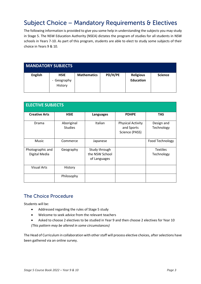# <span id="page-3-0"></span>Subject Choice - Mandatory Requirements & Electives

The following information is provided to give you some help in understanding the subjects you may study in Stage 5. The NSW Education Authority (NSEA) dictates the program of studies for all students in NSW schools in Years 7-10. As part of this program, students are able to elect to study some subjects of their choice in Years 9 & 10.

| <b>MANDATORY SUBJECTS</b> |                                       |                    |         |                                      |                |
|---------------------------|---------------------------------------|--------------------|---------|--------------------------------------|----------------|
| <b>English</b>            | <b>HSIE</b><br>- Geography<br>History | <b>Mathematics</b> | PD/H/PE | <b>Religious</b><br><b>Education</b> | <b>Science</b> |

| <b>ELECTIVE SUBJECTS</b>          |                              |                                                 |                                                          |                               |
|-----------------------------------|------------------------------|-------------------------------------------------|----------------------------------------------------------|-------------------------------|
| <b>Creative Arts</b>              | <b>HSIE</b>                  | Languages                                       | <b>PDHPE</b>                                             | <b>TAS</b>                    |
| Drama                             | Aboriginal<br><b>Studies</b> | Italian                                         | <b>Physical Activity</b><br>and Sports<br>Science (PASS) | Design and<br>Technology      |
| <b>Music</b>                      | Commerce                     | Japanese                                        |                                                          | Food Technology               |
| Photographic and<br>Digital Media | Geography                    | Study through<br>the NSW School<br>of Languages |                                                          | <b>Textiles</b><br>Technology |
| <b>Visual Arts</b>                | History                      |                                                 |                                                          |                               |
|                                   | Philosophy                   |                                                 |                                                          |                               |

## **The Choice Procedure**

Students will be:

- Addressed regarding the rules of Stage 5 study
- Welcome to seek advice from the relevant teachers
- Asked to choose 2 electives to be studied in Year 9 and then choose 2 electives for Year 10 *(This pattern may be altered in some circumstances)*

The Head of Curriculum in collaboration with other staff will process elective choices, after selections have been gathered via an online survey.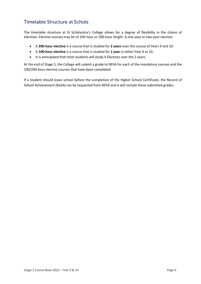## **Timetable Structure at Schols**

The timetable structure at St Scholastica's College allows for a degree of flexibility in the choice of electives. Elective courses may be of 100-hour or 200-hour length. A one-year or two-year elective.

- A **200-hour elective** is a course that is studied for **2 years** over the course of Years 9 and 10.
- A **100-hour elective** is a course that is studied for **1 year** in either Year 9 or 10.
- It is anticipated that most students will study 4 Electives over the 2 years.

At the end of Stage 5, the College will submit a grade to NESA for each of the mandatory courses and the 100/200-hour elective courses that have been completed.

If a student should leave school before the completion of the Higher School Certificate, the Record of School Achievement (RoSA) can be requested from NESA and it will include these submitted grades.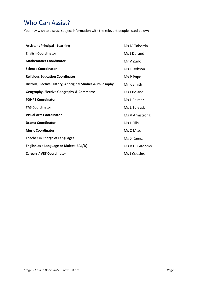# <span id="page-5-0"></span>**Who Can Assist?**

You may wish to discuss subject information with the relevant people listed below:

| <b>Assistant Principal - Learning</b>                      | Ms M Taborda    |
|------------------------------------------------------------|-----------------|
| <b>English Coordinator</b>                                 | Ms J Durand     |
| <b>Mathematics Coordinator</b>                             | Mr V Zurlo      |
| <b>Science Coordinator</b>                                 | Ms T Robson     |
| <b>Religious Education Coordinator</b>                     | Ms P Pope       |
| History, Elective History, Aboriginal Studies & Philosophy | Mr K Smith      |
| <b>Geography, Elective Geography &amp; Commerce</b>        | Ms J Boland     |
| <b>PDHPE Coordinator</b>                                   | Ms L Palmer     |
| <b>TAS Coordinator</b>                                     | Ms L Tulevski   |
| <b>Visual Arts Coordinator</b>                             | Ms V Armstrong  |
| <b>Drama Coordinator</b>                                   | Ms L Sills      |
| <b>Music Coordinator</b>                                   | Ms C Miao       |
| <b>Teacher in Charge of Languages</b>                      | Ms S Rumiz      |
| English as a Language or Dialect (EAL/D)                   | Ms V Di Giacomo |
| <b>Careers / VET Coordinator</b>                           | Ms J Cousins    |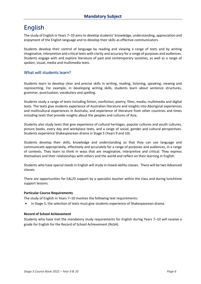# <span id="page-6-0"></span>**English**

The study of English in Years 7–10 aims to develop students' knowledge, understanding, appreciation and enjoyment of the English language and to develop their skills as effective communicators.

Students develop their control of language by reading and viewing a range of texts and by writing imaginative, interpretive and critical texts with clarity and accuracy for a range of purposes and audiences. Students engage with and explore literature of past and contemporary societies, as well as a range of spoken, visual, media and multimedia texts.

#### What will students learn?

Students learn to develop clear and precise skills in writing, reading, listening, speaking, viewing and representing. For example, in developing writing skills, students learn about sentence structures, grammar, punctuation, vocabulary and spelling.

Students study a range of texts including fiction, nonfiction, poetry, films, media, multimedia and digital texts. The texts give students experience of Australian literature and insights into Aboriginal experiences and multicultural experiences in Australia, and experience of literature from other countries and times including texts that provide insights about the peoples and cultures of Asia.

Students also study texts that give experience of cultural heritages, popular cultures and youth cultures, picture books, every day and workplace texts, and a range of social, gender and cultural perspectives. Students experience Shakespearean drama in Stage 5 (Years 9 and 10).

Students develop their skills, knowledge and understanding so that they can use language and communicate appropriately, effectively and accurately for a range of purposes and audiences, in a range of contexts. They learn to think in ways that are imaginative, interpretive and critical. They express themselves and their relationships with others and the world and reflect on their learning in English.

Students who have special needs in English will study in mixed-ability classes. There will be two Advanced classes.

There are opportunities for EAL/D support by a specialist teacher within the class and during lunchtime support lessons.

#### **Particular Course Requirements**

The study of English in Years 7–10 involves the following text requirements:

• In Stage 5, the selection of texts must give students experience of Shakespearean drama.

#### **Record of School Achievement**

Students who have met the mandatory study requirements for English during Years 7–10 will receive a grade for English for the Record of School Achievement (RoSA).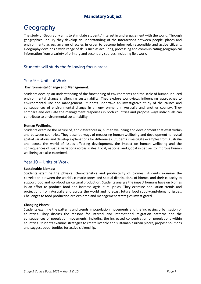# <span id="page-7-0"></span>Geography

The study of Geography aims to stimulate students' interest in and engagement with the world. Through geographical inquiry they develop an understanding of the interactions between people, places and environments across arrange of scales in order to become informed, responsible and active citizens. Geography develops a wide range of skills such as acquiring, processing and communicating geographical information from a variety of primary and secondary sources, including fieldwork.

## Students will study the following focus areas:

#### Year 9 - Units of Work

#### **Environmental Change and Management:**

Students develop an understanding of the functioning of environments and the scale of human-induced environmental change challenging sustainability. They explore worldviews influencing approaches to environmental use and management. Students undertake an investigative study of the causes and consequences of environmental change in an environment in Australia and another country. They compare and evaluate the management responses in both countries and propose ways individuals can contribute to environmental sustainability.

#### **Human Wellbeing**:

Students examine the nature of, and differences in, human wellbeing and development that exist within and between countries. They describe ways of measuring human wellbeing and development to reveal spatial variations and develop explanations for differences. Students investigate examples from Australia and across the world of issues affecting development, the impact on human wellbeing and the consequences of spatial variations across scales. Local, national and global initiatives to improve human wellbeing are also examined.

## Year 10 - Units of Work

#### **Sustainable Biomes**:

Students examine the physical characteristics and productivity of biomes. Students examine the correlation between the world's climatic zones and spatial distributions of biomes and their capacity to support food and non-food agricultural production. Students analyse the impact humans have on biomes in an effort to produce food and increase agricultural yields. They examine population trends and projections from Australia and across the world and forecast future food supply-and-demand issues. Challenges to food production are explored and management strategies investigated.

#### **Changing Places**:

Students examine the patterns and trends in population movements and the increasing urbanisation of countries. They discuss the reasons for internal and international migration patterns and the consequences of population movements, including the increased concentration of populations within countries. Students examine strategies to create liveable and sustainable urban places, propose solutions and suggest opportunities for active citizenship.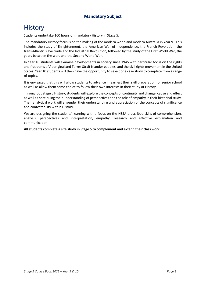# <span id="page-8-0"></span>**History**

Students undertake 100 hours of mandatory History in Stage 5.

The mandatory History focus is on the making of the modern world and modern Australia in Year 9. This includes the study of Enlightenment, the American War of Independence, the French Revolution, the trans-Atlantic slave trade and the Industrial Revolution, followed by the study of the First World War, the years between the wars and the Second World War.

In Year 10 students will examine developments in society since 1945 with particular focus on the rights and freedoms of Aboriginal and Torres Strait Islander peoples, and the civil rights movement in the United States. Year 10 students will then have the opportunity to select one case study to complete from a range of topics.

It is envisaged that this will allow students to advance in earnest their skill preparation for senior school as well as allow them some choice to follow their own interests in their study of History.

Throughout Stage 5 History, students will explore the concepts of continuity and change, cause and effect as well as continuing their understanding of perspectives and the role of empathy in their historical study. Their analytical work will engender their understanding and appreciation of the concepts of significance and contestability within History.

We are designing the students' learning with a focus on the NESA prescribed skills of comprehension, analysis, perspectives and interpretation, empathy, research and effective explanation and communication.

**All students complete a site study in Stage 5 to complement and extend their class work.**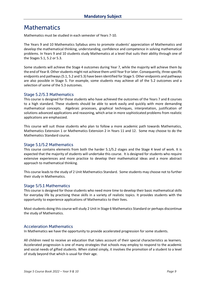# <span id="page-9-0"></span>**Mathematics**

Mathematics must be studied in each semester of Years 7-10.

The Years 9 and 10 Mathematics Syllabus aims to promote students' appreciation of Mathematics and develop the mathematical thinking, understanding, confidence and competence in solving mathematical problems. In Years 9 and 10 students study Mathematics at a level that suits their ability through one of the Stages 5.1, 5.2 or 5.3.

Some students will achieve the Stage 4 outcomes during Year 7, while the majority will achieve them by the end of Year 8. Other students might not achieve them until Year 9 or later. Consequently, three specific endpoints and pathways (5.1, 5.2 and 5.3) have been identified for Stage 5. Other endpoints and pathways are also possible in Stage 5. For example, some students may achieve all of the 5.2 outcomes and a selection of some of the 5.3 outcomes.

#### Stage 5.2/5.3 Mathematics

This course is designed for those students who have achieved the outcomes of the Years 7 and 8 courses to a high standard. These students should be able to work easily and quickly with more demanding mathematical concepts. Algebraic processes, graphical techniques, interpretation, justification of solutions advanced applications and reasoning, which arise in more sophisticated problems from realistic applications are emphasized.

This course will suit those students who plan to follow a more academic path towards Mathematics, Mathematics Extension 1 or Mathematics Extension 2 in Years 11 and 12. Some may choose to do the Mathematics Standard course.

#### Stage 5.1/5.2 Mathematics

This course contains elements from both the harder 5.1/5.2 stages and the Stage 4 level of work. It is expected that the majority of students will undertake this course. It is designed for students who require extensive experiences and more practice to develop their mathematical ideas and a more abstract approach to mathematical thinking.

This course leads to the study of 2 Unit Mathematics Standard. Some students may choose not to further their study in Mathematics.

#### Stage 5/5.1 Mathematics

This course is designed for those students who need more time to develop their basic mathematical skills for everyday life by practising these skills in a variety of realistic topics. It provides students with the opportunity to experience applications of Mathematics to their lives.

Most students doing this course will study 2 Unit in Stage 6 Mathematics Standard or perhaps discontinue the study of Mathematics.

#### **Acceleration Mathematics**

In Mathematics we have the opportunity to provide accelerated progression for some students.

All children need to receive an education that takes account of their special characteristics as learners. Accelerated progression is one of many strategies that schools may employ to respond to the academic and social needs of gifted students. When stated simply, it involves the promotion of a student to a level of study beyond that which is usual for their age.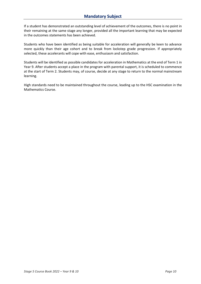If a student has demonstrated an outstanding level of achievement of the outcomes, there is no point in their remaining at the same stage any longer, provided all the important learning that may be expected in the outcomes statements has been achieved.

Students who have been identified as being suitable for acceleration will generally be keen to advance more quickly than their age cohort and to break from lockstep grade progression. If appropriately selected, these accelerants will cope with ease, enthusiasm and satisfaction.

Students will be identified as possible candidates for acceleration in Mathematics at the end of Term 1 in Year 9. After students accept a place in the program with parental support, it is scheduled to commence at the start of Term 2. Students may, of course, decide at any stage to return to the normal mainstream learning.

High standards need to be maintained throughout the course, leading up to the HSC examination in the Mathematics Course.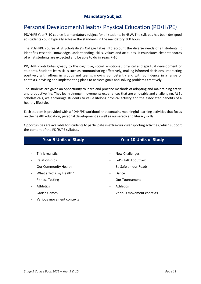# <span id="page-11-0"></span>Personal Development/Health/ Physical Education (PD/H/PE)

PD/H/PE Year 7-10 course is a mandatory subject for all students in NSW. The syllabus has been designed so students could typically achieve the standards in the mandatory 300 hours.

The PD/H/PE course at St Scholastica's College takes into account the diverse needs of all students. It identifies essential knowledge, understanding, skills, values and attitudes. It enunciates clear standards of what students are expected and be able to do in Years 7-10.

PD/H/PE contributes greatly to the cognitive, social, emotional, physical and spiritual development of students. Students learn skills such as communicating effectively, making informed decisions, interacting positively with others in groups and teams, moving competently and with confidence in a range of contexts, devising and implementing plans to achieve goals and solving problems creatively.

The students are given an opportunity to learn and practice methods of adopting and maintaining active and productive life. They learn through movements experiences that are enjoyable and challenging. At St Scholastica's, we encourage students to value lifelong physical activity and the associated benefits of a healthy lifestyle.

Each student is provided with a PD/H/PE workbook that contains meaningful learning activities that focus on the health education, personal development as well as numeracy and literacy skills.

Opportunities are available for students to participate in extra-curricular sporting activities, which support the content of the PD/H/PE syllabus.

| <b>Year 9 Units of Study</b> | <b>Year 10 Units of Study</b>                             |
|------------------------------|-----------------------------------------------------------|
|                              |                                                           |
| Think realistic              | New Challenges<br>$\overline{\phantom{a}}$                |
| Relationships                | Let's Talk About Sex<br>$\overline{\phantom{a}}$          |
| <b>Our Community Health</b>  | Be Safe on our Roads<br>$\qquad \qquad \blacksquare$      |
| What affects my Health?      | Dance<br>$\qquad \qquad \blacksquare$                     |
| <b>Fitness Testing</b>       | <b>Our Tournament</b><br>$\qquad \qquad \blacksquare$     |
| <b>Athletics</b>             | <b>Athletics</b><br>$\qquad \qquad \blacksquare$          |
| <b>Garish Games</b>          | Various movement contexts<br>$\qquad \qquad \blacksquare$ |
| Various movement contexts    |                                                           |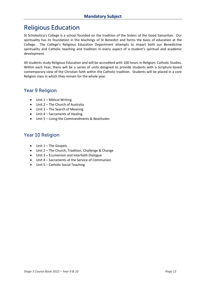# <span id="page-12-0"></span>**Religious Education**

St Scholastica's College is a school founded on the tradition of the Sisters of the Good Samaritan. Our spirituality has its foundation in the teachings of St Benedict and forms the basis of education at the College. The College's Religious Education Department attempts to impart both our Benedictine spirituality and Catholic teaching and tradition in every aspect of a student's spiritual and academic development.

All students study Religious Education and will be accredited with 100 hours in Religion: Catholic Studies. Within each Year, there will be a series of units designed to provide students with a Scripture-based contemporary view of the Christian faith within the Catholic tradition. Students will be placed in a core Religion class in which they remain for the whole year.

## **Year 9 Religion**

- Unit 1 Biblical Writing
- Unit 2 The Church of Australia
- Unit 3 The Search of Meaning
- Unit 4 Sacraments of Healing
- Unit 5 Living the Commandments & Beatitudes

## Year 10 Religion

- $\bullet$  Unit 1 The Gospels
- Unit 2 The Church, Tradition, Challenge & Change
- Unit 3 Ecumenism and Interfaith Dialogue
- Unit 4 Sacraments at the Service of Communion
- Unit 5 Catholic Social Teaching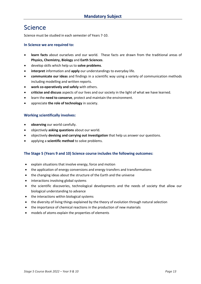# <span id="page-13-0"></span>Science

Science must be studied in each semester of Years 7-10.

#### **In Science we are required to:**

- **learn facts** about ourselves and our world. These facts are drawn from the traditional areas of **Physics, Chemistry, Biology** and **Earth Sciences**.
- develop skills which help us to **solve problems**.
- **interpret** information and **apply** our understandings to everyday life.
- **communicate our ideas** and findings in a scientific way using a variety of communication methods including modelling and written reports.
- **work co-operatively and safely** with others.
- **criticise and discuss** aspects of our lives and our society in the light of what we have learned.
- learn the **need to conserve**, protect and maintain the environment.
- appreciate **the role of technology** in society.

#### **Working scientifically involves:**

- **observing** our world carefully.
- objectively **asking questions** about our world.
- objectively **devising and carrying out investigation** that help us answer our questions.
- applying a **scientific method** to solve problems.

#### **The Stage 5 (Years 9 and 10) Science course includes the following outcomes:**

- explain situations that involve energy, force and motion
- the application of energy conversions and energy transfers and transformations
- the changing ideas about the structure of the Earth and the universe
- interactions involving global systems
- the scientific discoveries, technological developments and the needs of society that allow our biological understanding to advance
- the interactions within biological systems
- the diversity of living things explained by the theory of evolution through natural selection
- the importance of chemical reactions in the production of new materials
- models of atoms explain the properties of elements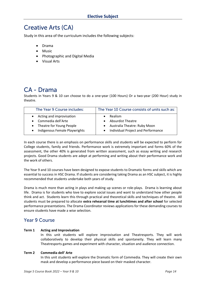# <span id="page-14-0"></span>**Creative Arts (CA)**

Study in this area of the curriculum includes the following subjects:

- Drama
- Music
- Photographic and Digital Media
- Visual Arts

# <span id="page-14-1"></span>CA - Drama

Students in Years 9 & 10 can choose to do a one-year (100 Hours) Or a two-year (200 Hour) study in theatre.

| The Year 9 Course includes:   | The Year 10 Course consists of units such as: |
|-------------------------------|-----------------------------------------------|
| Acting and improvisation      | Realism                                       |
| Commedia dell'Arte            | <b>Absurdist Theatre</b>                      |
| • Theatre for Young People    | Australia Theatre: Ruby Moon                  |
| Indigenous Female Playwrights | Individual Project and Performance            |

In each course there is an emphasis on performance skills and students will be expected to perform for College students, family and friends. Performance work is extremely important and forms 60% of the assessment, the other 40% is generated from written assessment, such as essay writing and research projects. Good Drama students are adept at performing and writing about their performance work and the work of others.

The Year 9 and 10 courses have been designed to expose students to Dramatic forms and skills which are essential to success in HSC Drama. If students are considering taking Drama as an HSC subject, it is highly recommended that students undertake both years of study.

Drama is much more than acting in plays and making up scenes or role-plays. Drama is learning about life. Drama is for students who love to explore social issues and want to understand how other people think and act. Students learn this through practical and theoretical skills and techniques of theatre. All students must be prepared to allocate **extra rehearsal time at lunchtimes and after school** for selected performance presentations. The Drama Coordinator reviews applications for these demanding courses to ensure students have made a wise selection.

## **Year 9 Course**

#### **Term 1 Acting and Improvisation**

In this unit students will explore improvisation and Theatresports. They will work collaboratively to develop their physical skills and spontaneity. They will learn many Theatresports games and experiment with character, situation and audience connection.

#### **Term 2 Commedia dell' Arte**

In this unit students will explore the Dramatic form of Commedia. They will create their own mask and develop a performance piece based on their masked character.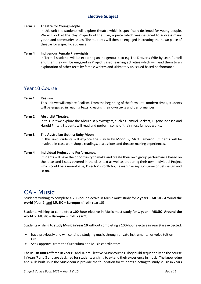#### **Term 3 Theatre for Young People**

In this unit the students will explore theatre which is specifically designed for young people. We will look at the play Property of the Clan, a piece which was designed to address many youth and community issues. The students will then be engaged in creating their own piece of theatre for a specific audience.

#### **Term 4 Indigenous Female Playwrights**

In Term 4 students will be exploring an indigenous text e.g The Drover's Wife by Leah Purcell and then they will be engaged in Project Based learning activities which will lead them to an exploration of other texts by female writers and ultimately an issued based performance.

## Year 10 Course

#### **Term 1 Realism**

This unit we will explore Realism. From the beginning of the form until modern times, students will be engaged in reading texts, creating their own texts and performances.

#### **Term 2 Absurdist Theatre.**

In this unit we explore the Absurdist playwrights, such as Samuel Beckett, Eugene Ionesco and Harold Pinter. Students will read and perform some of their most famous works.

#### **Term 3 The Australian Gothic: Ruby Moon**

In this unit students will explore the Play Ruby Moon by Matt Cameron. Students will be involved in class workshops, readings, discussions and theatre making experiences.

#### **Term 4 Individual Project and Performance.**

Students will have the opportunity to make and create their own group performance based on the ideas and issues covered in the class text as well as preparing their own Individual Project which could be a monologue, Director's Portfolio, Research essay, Costume or Set design and so on.

# <span id="page-15-0"></span>**CA - Music**

Students wishing to complete a **200-hour** elective in Music must study for **2 years** – **MUSIC- Around the world** (Year 9) and **MUSIC – Baroque n' roll (**Year 10)

Students wishing to complete a **100-hour** elective in Music must study for **1 year** – **MUSIC- Around the world** or **MUSIC – Baroque n' roll (Year 9)** 

Students wishing to **study Music in Year 10** without completing a 100-hour elective in Year 9 are expected:

- have previously and will continue studying music through private instrumental or voice tuition **OR**
- Seek approval from the Curriculum and Music coordinators

**The Music units** offered in Years 9 and 10 are Elective Music courses. They build sequentially on the course in Years 7 and 8 and are designed for students wishing to extend their experience in music. The knowledge and skills built up in the Music course provide the foundation for students electing to study Music in Years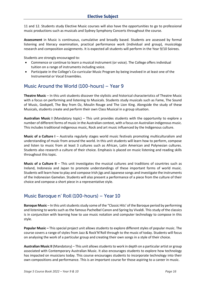11 and 12. Students study Elective Music courses will also have the opportunities to go to professional music productions such as musicals and Sydney Symphony Concerts throughout the course.

**Assessment** in Music is continuous, cumulative and broadly based. Students are assessed by formal listening and literacy examination, practical performance work (individual and group), musicology research and composition assignments. It is expected all students will perform in the Year 9/10 Soirees.

Students are strongly encouraged to:

- Commence or continue to learn a musical instrument (or voice). The College offers individual tuition on a range of instruments including voice.
- Participate in the College's Co-curricular Music Program by being involved in at least one of the Instrumental or Vocal Ensembles.

## Music Around the World (100-hours) – Year 9

**Theatre Music** – In this unit students discover the stylistic and historical characteristics of Theatre Music with a focus on performing and listening to Musicals. Students study musicals such as Fame, The Sound of Music, Godspell, The Boy from Oz, Moulin Rouge and The Lion King. Alongside the study of these Musicals, students create and perform their own Class Musical in a group situation.

**Australian Music I** (Mandatory topic) – This unit provides students with the opportunity to explore a number of different forms of music in the Australian context, with a focus on Australian indigenous music. This includes traditional indigenous music, Rock and art music influenced by the Indigenous culture.

**Music of a Culture I** – Australia regularly stages world music festivals promoting multiculturalism and understanding of music from around the world. In this unit students will learn how to perform, compose and listen to music from at least 3 cultures such as African, Latin American and Polynesian cultures. Students also research a culture of their choice. Emphasis is placed on music listening and reading skills throughout this topic.

**Music of a Culture II** – This unit investigates the musical cultures and traditions of countries such as Ireland, Indonesia and Japan to promote understandings of these important forms of world music. Students will learn how to play and compose Irish jigs and Japanese songs and investigate the instruments of the Indonesian Gamelan. Students will also present a performance of a piece from the culture of their choice and compose a short piece in a representative style.

## Music Baroque n' Roll (100-hours) – Year 10

**Baroque Music** – In this unit students study some of the "Classic Hits' of the Baroque period by performing and listening to works such as the famous Pachelbel Canon and Spring by Vivaldi. This study of the classics is in conjunction with learning how to use music notation and computer technology to compose in this style.

**Popular Music –** This special project unit allows students to explore different styles of popular music. The course covers a range of styles from Jazz & Rock'N'Roll through to the music of today. Students will focus on analysing the work of a particular group and creating their own songs in a style of their choice.

**Australian Music II** (Mandatory) – This unit allows students to work in depth on a particular artist or group associated with Contemporary Australian Music. It also encourages students to explore how technology has impacted on musicians today. This course encourages students to incorporate technology into their own compositions and performance. This is an important course for those aspiring to a career in music.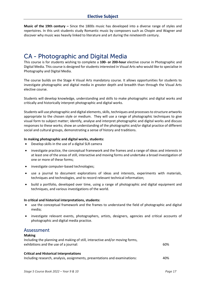**Music of the 19th century –** Since the 1800s music has developed into a diverse range of styles and repertoires. In this unit students study Romantic music by composers such as Chopin and Wagner and discover why music was heavily linked to literature and art during the nineteenth century.

# <span id="page-17-0"></span>**CA - Photographic and Digital Media**

This course is for students wishing to complete a **100- or 200-hour** elective course in Photographic and Digital Media. This course is designed for students interested in Visual Arts who would like to specialise in Photography and Digital Media.

The course builds on the Stage 4 Visual Arts mandatory course. It allows opportunities for students to investigate photographic and digital media in greater depth and breadth than through the Visual Arts elective course.

Students will develop knowledge, understanding and skills to make photographic and digital works and critically and historically interpret photographic and digital works.

Students will use photographic and digital elements, skills, techniques and processes to structure artworks appropriate to the chosen style or medium. They will use a range of photographic techniques to give visual form to subject matter; identify, analyse and interpret photographic and digital works and discuss responses to these works; show an understanding of the photographic and/or digital practice of different social and cultural groups, demonstrating a sense of history and traditions.

#### **In making photographic and digital works, students:**

- Develop skills in the use of a digital SLR camera
- investigate practice, the conceptual framework and the frames and a range of ideas and interests in at least one of the areas of still, interactive and moving forms and undertake a broad investigation of one or more of these forms;
- investigate computer-based technologies;
- use a journal to document explorations of ideas and interests, experiments with materials, techniques and technologies, and to record relevant technical information;
- build a portfolio, developed over time, using a range of photographic and digital equipment and techniques, and various investigations of the world.

#### **In critical and historical interpretations, students:**

- use the conceptual framework and the frames to understand the field of photographic and digital media;
- investigate relevant events, photographers, artists, designers, agencies and critical accounts of photographic and digital media practice.

## Assessment

#### **Making**

| Including the planning and making of still, interactive and/or moving forms, |     |
|------------------------------------------------------------------------------|-----|
| exhibitions and the use of a journal:                                        | 60% |

#### **Critical and Historical Interpretations**

Including research, analysis, assignments, presentations and examinations: 40%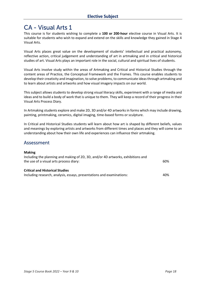# <span id="page-18-0"></span>**CA - Visual Arts 1**

This course is for students wishing to complete a **100 or 200-hour** elective course in Visual Arts. It is suitable for students who wish to expand and extend on the skills and knowledge they gained in Stage 4 Visual Arts.

Visual Arts places great value on the development of students' intellectual and practical autonomy, reflective action, critical judgement and understanding of art in artmaking and in critical and historical studies of art. Visual Arts plays an important role in the social, cultural and spiritual lives of students.

Visual Arts involve study within the areas of Artmaking and Critical and Historical Studies through the content areas of Practice, the Conceptual Framework and the Frames. This course enables students to develop their creativity and imagination, to solve problems, to communicate ideas through artmaking and to learn about artists and artworks and how visual imagery impacts on our world.

This subject allows students to develop strong visual literacy skills, experiment with a range of media and ideas and to build a body of work that is unique to them. They will keep a record of their progress in their Visual Arts Process Diary.

In Artmaking students explore and make 2D, 3D and/or 4D artworks in forms which may include drawing, painting, printmaking, ceramics, digital imaging, time-based forms or sculpture.

In Critical and Historical Studies students will learn about how art is shaped by different beliefs, values and meanings by exploring artists and artworks from different times and places and they will come to an understanding about how their own life and experiences can influence their artmaking.

## Assessment

#### **Making**

| Including the planning and making of 2D, 3D, and/or 4D artworks, exhibitions and<br>the use of a visual arts process diary: | 60% |
|-----------------------------------------------------------------------------------------------------------------------------|-----|
| <b>Critical and Historical Studies</b><br>Including research, analysis, essays, presentations and examinations:             | 40% |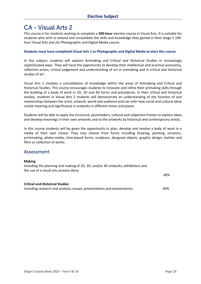# <span id="page-19-0"></span>**CA - Visual Arts 2**

This course is for students wishing to complete a **200-hour** elective course in Visual Arts. It is suitable for students who wish to extend and consolidate the skills and knowledge they gained in their Stage 5 100 hour Visual Arts and /or Photographic and Digital Media course.

#### **Students must have completed Visual Arts 1 or Photographic and Digital Media to elect this course.**

In this subject, students will explore Artmaking and Critical and Historical Studies in increasingly sophisticated ways. They will have the opportunity to develop their intellectual and practical autonomy, reflective action, critical judgement and understanding of art in artmaking and in critical and historical studies of art.

Visual Arts 2 involves a consolidation of knowledge within the areas of Artmaking and Critical and Historical Studies. This course encourages students to innovate and refine their artmaking skills through the building of a body of work in 2D, 3D and 4D forms and procedures. In their critical and historical studies, students in Visual Arts 2 students will demonstrate an understanding of the function of and relationships between the artist, artwork, world and audience and can infer how social and cultural ideas create meaning and significance in artworks in different times and places.

Students will be able to apply the structural, postmodern, cultural and subjective frames to explore ideas and develop meanings in their own artworks and to the artworks by historical and contemporary artists.

In this course students will be given the opportunity to plan, develop and resolve a body of work in a media of their own choice. They may choose from forms including drawing, painting, ceramics, printmaking, photo-media, time-based forms, sculpture, designed objects, graphic design, textiles and fibre or collection of works.

## Assessment

#### **Making**

Including the planning and making of 2D, 3D, and/or 4D artworks, exhibitions and the use of a visual arts process diary:

| <b>Critical and Historical Studies</b>                                   |     |
|--------------------------------------------------------------------------|-----|
| Including research and analysis, essays, presentations and examinations: | 40% |

60%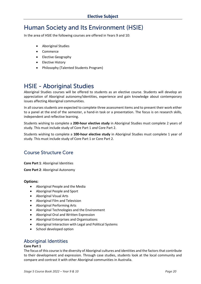# <span id="page-20-0"></span>Human Society and Its Environment (HSIE)

In the area of HSIE the following courses are offered in Years 9 and 10:

- Aboriginal Studies
- Commerce
- Elective Geography
- Elective History
- Philosophy (Talented Students Program)

# <span id="page-20-1"></span>**HSIE - Aboriginal Studies**

Aboriginal Studies courses will be offered to students as an elective course. Students will develop an appreciation of Aboriginal autonomy/identities, experience and gain knowledge about contemporary issues affecting Aboriginal communities.

In all courses students are expected to complete three assessment items and to present their work either to a panel at the end of the semester, a hand-in task or a presentation. The focus is on research skills, independent and reflective learning.

Students wishing to complete a **200-hour elective study** in Aboriginal Studies must complete 2 years of study. This must include study of Core Part 1 *and* Core Part 2.

Students wishing to complete a **100-hour elective study** in Aboriginal Studies must complete 1 year of study. This must include study of Core Part 1 or Core Part 2.

# **Course Structure Core**

**Core Part 1**: Aboriginal Identities

**Core Part 2**: Aboriginal Autonomy

#### **Options:**

- Aboriginal People and the Media
- Aboriginal People and Sport
- Aboriginal Visual Arts
- Aboriginal Film and Television
- Aboriginal Performing Arts
- Aboriginal Technologies and the Environment
- Aboriginal Oral and Written Expression
- Aboriginal Enterprises and Organisations
- Aboriginal Interaction with Legal and Political Systems
- School developed option

## **Aboriginal Identities**

#### **Core Part 1**

The focus of this course is the diversity of Aboriginal cultures and identities and the factors that contribute to their development and expression. Through case studies, students look at the local community and compare and contrast it with other Aboriginal communities in Australia.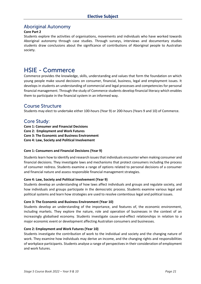## **Aboriginal Autonomy**

#### **Core Part 2**

Students explore the activities of organisations, movements and individuals who have worked towards Aboriginal autonomy through case studies. Through surveys, interviews and documentary studies students draw conclusions about the significance of contributions of Aboriginal people to Australian society.

# <span id="page-21-0"></span>**HSIE - Commerce**

Commerce provides the knowledge, skills, understanding and values that form the foundation on which young people make sound decisions on consumer, financial, business, legal and employment issues. It develops in students an understanding of commercial and legal processes and competencies for personal financial management. Through the study of Commerce students develop financial literacy which enables them to participate in the financial system in an informed way.

## Course Structure

Students may elect to undertake either 100-hours (Year 9) or 200-hours (Years 9 and 10) of Commerce.

## **Core Study:**

- **Core 1: Consumer and Financial Decisions**
- **Core 2: Employment and Work Futures**
- **Core 3: The Economic and Business Environment**
- **Core 4: Law, Society and Political Involvement**

#### **Core 1: Consumers and Financial Decisions (Year 9)**

Students learn how to identify and research issues that individuals encounter when making consumer and financial decisions. They investigate laws and mechanisms that protect consumers including the process of consumer redress. Students examine a range of options related to personal decisions of a consumer and financial nature and assess responsible financial management strategies.

#### **Core 4: Law, Society and Political Involvement (Year 9)**

Students develop an understanding of how laws affect individuals and groups and regulate society, and how individuals and groups participate in the democratic process. Students examine various legal and political systems and learn how strategies are used to resolve contentious legal and political issues.

#### **Core 3: The Economic and Business Environment (Year 10)**

Students develop an understanding of the importance, and features of, the economic environment, including markets. They explore the nature, role and operation of businesses in the context of an increasingly globalised economy. Students investigate cause-and-effect relationships in relation to a major economic event or development affecting Australian consumers and businesses.

#### **Core 2: Employment and Work Futures (Year 10)**

Students investigate the contribution of work to the individual and society and the changing nature of work. They examine how individuals may derive an income, and the changing rights and responsibilities of workplace participants. Students analyse a range of perspectives in their consideration of employment and work futures.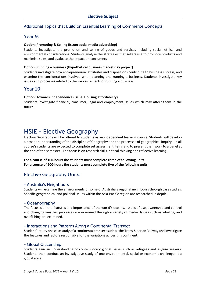## Additional Topics that Build on Essential Learning of Commerce Concepts:

## Year 9:

#### **Option: Promoting & Selling (Issue: social media advertising)**

Students investigate the promotion and selling of goods and services including social, ethical and environmental considerations. Students analyse the strategies that sellers use to promote products and maximise sales, and evaluate the impact on consumers

#### **Option: Running a business (Hypothetical business market day project)**

Students investigate how entrepreneurial attributes and dispositions contribute to business success, and examine the considerations involved when planning and running a business. Students investigate key issues and processes related to the various aspects of running a business.

## **Year 10:**

#### **Option: Towards Independence (Issue: Housing affordability)**

Students investigate financial, consumer, legal and employment issues which may affect them in the future.

# <span id="page-22-0"></span>**HSIE - Elective Geography**

Elective Geography will be offered to students as an independent learning course. Students will develop a broader understanding of the discipline of Geography and the processes of geographical inquiry. In all course's students are expected to complete set assessment items and to present their work to a panel at the end of the semester. The focus is on research skills, critical thinking and reflective learning.

**For a course of 100-hours the students must complete three of following units For a course of 200-hours the students must complete five of the following units** 

## **Elective Geography Units:**

#### - Australia's Neighbours

Students will examine the environments of some of Australia's regional neighbours through case studies. Specific geographical and political issues within the Asia-Pacific region are researched in depth.

#### - Oceanography

The focus is on the features and importance of the world's oceans. Issues of use, ownership and control and changing weather processes are examined through a variety of media. Issues such as whaling, and overfishing are examined.

#### - Interactions and Patterns Along a Continental Transect

Student'sstudy one case study of a continental transect such as the Trans-Siberian Railway and investigate the features and factors responsible for the variations across this continent.

#### - Global Citizenship

Students gain an understanding of contemporary global issues such as refugees and asylum seekers. Students then conduct an investigative study of one environmental, social or economic challenge at a global scale.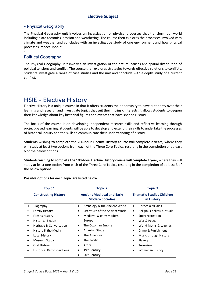#### - Physical Geography

The Physical Geography unit involves an investigation of physical processes that transform our world including plate tectonics, erosion and weathering. The course then explores the processes involved with climate and weather and concludes with an investigative study of one environment and how physical processes impact upon it.

## **Political Geography**

-

The Physical Geography unit involves an investigation of the nature, causes and spatial distribution of political tensions and conflict. The course then explores strategies towards effective solutions to conflicts. Students investigate a range of case studies and the unit and conclude with a depth study of a current conflict.

# <span id="page-23-0"></span>**HSIE - Elective History**

Elective History is a unique course in that it offers students the opportunity to have autonomy over their learning and research and investigate topics that suit their intrinsic interests. It allows students to deepen their knowledge about key historical figures and events that have shaped History.

The focus of the course is on developing independent research skills and reflective learning through project-based learning. Students will be able to develop and extend their skills to undertake the processes of historical inquiry and the skills to communicate their understanding of history.

**Students wishing to complete the 200-hour Elective History course will complete 2 years,** where they will study at least two options from each of the Three Core Topics, resulting in the completion of at least 6 of the below options.

**Students wishing to complete the 100-hour Elective History course will complete 1 year,** where they will study at least one option from each of the Three Core Topics, resulting in the completion of at least 3 of the below options.

| <b>Topic 1</b>                    | <b>Topic 2</b>                                               | <b>Topic 3</b>                                 |
|-----------------------------------|--------------------------------------------------------------|------------------------------------------------|
| <b>Constructing History</b>       | <b>Ancient Medieval and Early</b><br><b>Modern Societies</b> | <b>Thematic Studies Children</b><br>in History |
| Biography<br>٠                    | Archelogy & the Ancient World<br>٠                           | Heroes & Villains<br>$\bullet$                 |
| <b>Family History</b>             | Literature of the Ancient World                              | Religious beliefs & rituals<br>$\bullet$       |
| Film as History<br>٠              | Medieval & early Modern<br>٠                                 | Sport recreation<br>٠                          |
| <b>Historical Fiction</b><br>٠    | Europe                                                       | War & Peace<br>$\bullet$                       |
| Heritage & Conversation<br>٠      | The Ottoman Empire                                           | World Myths & Legends<br>٠                     |
| History & the Media               | An Asian Study                                               | Crime & Punishment<br>$\bullet$                |
| Local History                     | The Americas                                                 | Music through History<br>$\bullet$             |
| Museum Study<br>٠                 | The Pacific                                                  | Slavery<br>٠                                   |
| Oral History                      | Africa                                                       | Terrorism                                      |
| <b>Historical Reconstructions</b> | 19 <sup>th</sup> Century                                     | Women in History<br>$\bullet$                  |
|                                   | 20 <sup>th</sup> Century                                     |                                                |

#### **Possible options for each Topic are listed below:**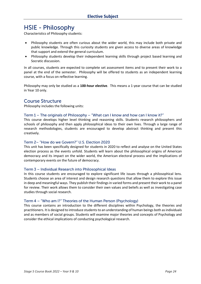# <span id="page-24-0"></span>**HSIE - Philosophy**

Characteristics of Philosophy students:

- Philosophy students are often curious about the wider world, this may include both private and public knowledge. Through this curiosity students are given access to diverse areas of knowledge that support and extend the general curriculum.
- Philosophy students develop their independent learning skills through project based learning and Socratic discussion.

In all courses, students are expected to complete set assessment items and to present their work to a panel at the end of the semester. Philosophy will be offered to students as an independent learning course, with a focus on reflective learning.

Philosophy may only be studied as a **100-hour elective**. This means a 1-year course that can be studied in Year 10 only.

## **Course Structure**

Philosophy includes the following units:

#### Term  $1$  – The originals of Philosophy – "What can I know and how can I know it?"

This course develops higher level thinking and reasoning skills. Students research philosophers and schools of philosophy and then apply philosophical ideas to their own lives. Through a large range of research methodologies, students are encouraged to develop abstract thinking and present this creatively.

#### Term 2- "How do we Govern?" U.S. Election 2020

This unit has been specifically designed for students in 2020 to reflect and analyse on the United States election process as the events unfold. Students will learn about the philosophical origins of American democracy and its impact on the wider world, the American electoral process and the implications of contemporary events on the future of democracy.

#### Term 3 - Individual Research into Philosophical Ideas

In this course students are encouraged to explore significant life issues through a philosophical lens. Students choose an area of interest and design research questions that allow them to explore this issue in deep and meaningful ways. They publish their findings in varied forms and present their work to a panel for review. Their work allows them to consider their own values and beliefs as well as investigating case studies through social research.

#### Term 4 - "Who am I?" Theories of the Human Person (Psychology)

This course contains an introduction to the different disciplines within Psychology, the theories and practitioners. It is designed to introduce students to an understanding of human beings both as individuals and as members of social groups. Students will examine major theories and concepts of Psychology and consider the ethical implications of conducting psychological research.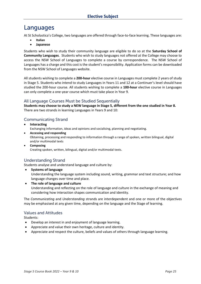# <span id="page-25-0"></span>Languages

At St Scholastica's College, two languages are offered through face-to-face learning. These languages are:

- **Italian**
- **Japanese**

Students who wish to study their community language are eligible to do so at the **Saturday School of Community Languages**. Students who wish to study languages not offered at the College may choose to access the NSW School of Languages to complete a course by correspondence. The NSW School of Languages has a charge and this cost is the student's responsibility. Application forms can be downloaded from the NSW School of Languages website.

All students wishing to complete a **200-hour** elective course in Languages must complete 2 years of study in Stage 5. Students who intend to study Languages in Years 11 and 12 at a Continuer's level should have studied the 200-hour course. All students wishing to complete a **100-hour** elective course in Languages can only complete a one-year course which must take place in Year 9.

## All Language Courses Must be Studied Sequentially

**Students may choose to study a NEW language in Stage 5, different from the one studied in Year 8.** There are two strands in learning Languages in Years 9 and 10:

## **Communicating Strand**

- **Interacting** Exchanging information, ideas and opinions and socialising, planning and negotiating. • **Accessing and responding**
	- Obtaining, processing and responding to information through a range of spoken, written bilingual, digital and/or multimodal texts
- **Composing** Creating spoken, written, bilingual, digital and/or multimodal texts.

## **Understanding Strand**

Students analyse and understand language and culture by:

• **Systems of language**

Understanding the language system including sound, writing, grammar and text structure; and how language changes over time and place.

• **The role of language and culture** Understanding and reflecting on the role of language and culture in the exchange of meaning and considering how interaction shapes communication and identity.

The *Communicating* and *Understanding* strands are interdependent and one or more of the objectives may be emphasised at any given time, depending on the language and the Stage of learning.

#### **Values and Attitudes**

Students:

- Develop an interest in and enjoyment of language learning.
- Appreciate and value their own heritage, culture and identity.
- Appreciate and respect the culture, beliefs and values of others through language learning.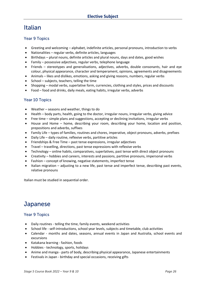# <span id="page-26-0"></span>**Italian**

## **Year 9 Topics**

- Greeting and welcoming alphabet, indefinite articles, personal pronouns, introduction to verbs
- Nationalities regular verbs, definite articles, languages
- Birthdays plural nouns, definite articles and plural nouns, days and dates, good wishes
- Family possessive adjectives, regular verbs, telephone language
- Friends stereotypes and generalisations, adjectives, adverbs, double consonants, hair and eye colour, physical appearance, character and temperament, opinions, agreements and disagreements
- Animals likes and dislikes, emotions, asking and giving reasons, numbers, regular verbs
- School subjects, teachers, telling the time
- Shopping modal verbs, superlative form, currencies, clothing and styles, prices and discounts
- Food food and drinks, daily meals, eating habits, irregular verbs, adverbs

## Year 10 Topics

- Weather seasons and weather, things to do
- Health body parts, health, going to the doctor, irregular nouns, irregular verbs, giving advice
- Free time simple plans and suggestions, accepting or declining invitations, irregular verbs
- House and Home home, describing your room, describing your home, location and position, prepositions and adverbs, suffixes
- Family Life types of families, routines and chores, imperative, object pronouns, adverbs, prefixes
- Daily Life daily routine, reflexive verbs, partitive articles
- Friendships & Free Time past tense expressions, irregular adjectives
- Travel travelling, directions, past tense expressions with reflexive verbs
- Technology online habits, comparatives, superlatives, past tense with direct object pronouns
- Creativity hobbies and careers, interests and passions, partitive pronouns, impersonal verbs
- Fashion concept of knowing, negative statements, imperfect tense
- Italian migration adjusting to a new life, past tense and imperfect tense, describing past events, relative pronouns

Italian must be studied in sequential order.

# <span id="page-26-1"></span>Japanese

## **Year 9 Topics**

- Daily routines telling the time, family events, weekend activities
- School life self-introductions, school year levels, subjects and timetable, club activities
- Calendar months and dates, seasons, annual events in Japan and Australia, school events and excursions
- Katakana learning fashion, foods
- Hobbies technology, sports, holidays
- Anime and manga parts of body, describing physical appearance, Japanese entertainments
- Festivals in Japan birthday and special occasions, receiving gifts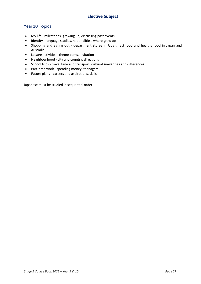## Year 10 Topics

- My life milestones, growing up, discussing past events
- Identity language studies, nationalities, where grew up
- Shopping and eating out department stores in Japan, fast food and healthy food in Japan and Australia
- Leisure activities theme parks, invitation
- Neighbourhood city and country, directions
- School trips travel time and transport, cultural similarities and differences
- Part-time work spending money, teenagers
- Future plans careers and aspirations, skills

Japanese must be studied in sequential order.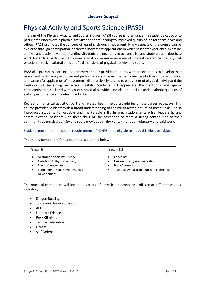# <span id="page-28-0"></span>**Physical Activity and Sports Science (PASS)**

The aim of the Physical Activity and Sports Studies (PASS) course is to enhance the student's capacity to participate effectively in physical activity and sport, leading to improved quality of life for themselves and others. PASS promotes the concept of learning through movement. Many aspects of the course can be explored through participation in selected movement applications in which students experience, examine, analyse and apply new understanding. Students are encouraged to specialise and study areas in depth, to work towards a particular performance goal, or examine an issue of interest related to the physical, emotional, social, cultural or scientific dimensions of physical activity and sport.

PASS also promotes learning about movement and provides students with opportunities to develop their movement skills, analyse movement performance and assist the performance of others. The acquisition and successful application of movement skills are closely related to enjoyment of physical activity and the likelihood of sustaining an active lifestyle. Students will appreciate the traditions and special characteristics associated with various physical activities and also the artistic and aesthetic qualities of skilled performance and determined effort.

Recreation, physical activity, sport and related health fields provide legitimate career pathways. This course provides students with a broad understanding of the multifaceted nature of these fields. It also introduces students to valuable and marketable skills in organisation, enterprise, leadership and communication. Students with these skills will be positioned to make a strong contribution to their community as physical activity and sport provides a major context for both voluntary and paid work.

#### Students must meet the course requirements of PDHPE to be eligible to study this elective subject.

| Year 9                                                                                                                                                                                                   | Year 10                                                                                                                                 |
|----------------------------------------------------------------------------------------------------------------------------------------------------------------------------------------------------------|-----------------------------------------------------------------------------------------------------------------------------------------|
| Australia's Sporting History<br>$\bullet$<br><b>Nutrition &amp; Physical Activity</b><br>$\bullet$<br>Event Management<br>$\bullet$<br><b>Fundamentals of Movement Skill</b><br>$\bullet$<br>Development | Coaching<br>Leisure, Lifestyle & Recreation<br>$\bullet$<br><b>Body Systems</b><br>Technology, Participation & Performance<br>$\bullet$ |

The theory component for each unit is as outlined below:

The practical component will include a variety of activities at school and off site at different venues, including:

- Dragon Boating
- Tae Kwon Do/Kickboxing
- AFL
- Ultimate Frisbee
- Rock Climbing
- Tennis/Badminton
- **Fitness**
- Self-Defence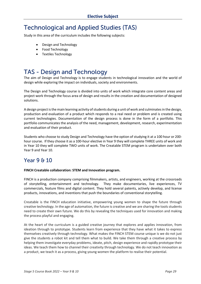# <span id="page-29-0"></span>**Technological and Applied Studies (TAS)**

Study in this area of the curriculum includes the following subjects:

- Design and Technology
- Food Technology
- Textiles Technology

# <span id="page-29-1"></span>**TAS - Design and Technology**

The aim of Design and Technology is to engage students in technological innovation and the world of design while exploring the impact on individuals, society and environments.

The Design and Technology course is divided into units of work which integrate core content areas and project work through the focus area of design and results in the creation and documentation of designed solutions.

A design project is the main learning activity of students during a unit of work and culminates in the design, production and evaluation of a product which responds to a real need or problem and is created using current technologies. Documentation of the design process is done in the form of a portfolio. This portfolio communicates the analysis of the need, management, development, research, experimentation and evaluation of their product.

Students who choose to study Design and Technology have the option of studying it at a 100 hour or 200 hour course. If they choose it as a 100-hour elective in Year 9 they will complete THREE units of work and in Year 10 they will complete TWO units of work. The Creatable STEM program is undertaken over both Year 9 and Year 10.

# Year 9 & 10

#### **FINCH Creatable collaboration: STEM and Innovation program.**

FINCH is a production company comprising filmmakers, artists, and engineers, working at the crossroads of storytelling, entertainment and technology. They make documentaries, live experiences, TV commercials, feature films and digital content. They hold several patents, actively develop, and license products, innovations, and inventions that push the boundaries of conventional storytelling.

Creatable is the FINCH education initiative, empowering young women to shape the future through creative technology. In the age of automation, the future is creative and we are sharing the tools students need to create their own future. We do this by revealing the techniques used for innovation and making the process playful and engaging.

At the heart of the curriculum is a guided creative journey that explores and applies innovation, from ideation through to prototype. Students learn from experience that they have what it takes to express themselves creatively through technology. What makes the FINCH STEM course unique is we do not just give the students a robot kit and tell them what to build. We take them through a creative process by helping them investigate everyday problems, ideate, pitch, design experience and rapidly prototype their ideas. We teach them how to channel their creativity through technology. We do not teach innovation as a product, we teach it as a process, giving young women the platform to realise their potential.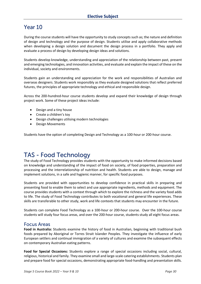## Year 10

During the course students will have the opportunity to study concepts such as; the nature and definition of design and technology and the purpose of design. Students utilise and apply collaborative methods when developing a design solution and document the design process in a portfolio. They apply and evaluate a process of design by developing design ideas and solutions.

Students develop knowledge, understanding and appreciation of the relationship between past, present and emerging technologies, and innovation activities, and evaluate and explain the impact of these on the individual, society and environments.

Students gain an understanding and appreciation for the work and responsibilities of Australian and overseas designers. Students work responsibly as they evaluate designed solutions that reflect preferred futures, the principles of appropriate technology and ethical and responsible design.

Across the 200-hundred-hour course students develop and expand their knowledge of design through project work. Some of these project ideas include:

- Design and a tiny house
- Create a children's toy
- Design challenges utilising modern technologies
- Design Movements

Students have the option of completing Design and Technology as a 100-hour or 200-hour course.

# <span id="page-30-0"></span>**TAS - Food Technology**

The study of Food Technology provides students with the opportunity to make informed decisions based on knowledge and understanding of the impact of food on society, of food properties, preparation and processing and the interrelationship of nutrition and health. Students are able to design, manage and implement solutions, in a safe and hygienic manner, for specific food purposes.

Students are provided with opportunities to develop confidence in practical skills in preparing and presenting food to enable them to select and use appropriate ingredients, methods and equipment. The course provides students with a context through which to explore the richness and the variety food adds to life. The study of Food Technology contributes to both vocational and general life experiences. These skills are transferable to other study, work and life contexts that students may encounter in the future.

Students can complete Food Technology as a 100-hour or 200-hour course. Over the 100-hour course students will study four focus areas, and over the 200-hour course, students study all eight focus areas.

## **Focus Areas**

**Food in Australia:** Students examine the history of food in Australian, beginning with traditional bush foods prepared by Aboriginal or Torres Strait Islander Peoples. They investigate the influence of early European settlers and continual immigration of a variety of cultures and examine the subsequent effects on contemporary Australian eating patterns.

**Food for Special Occasions:** Students explore a range of special occasions including social, cultural, religious, historical and family. They examine small and large-scale catering establishments. Students plan and prepare food for special occasions, demonstrating appropriate food-handling and presentation skills.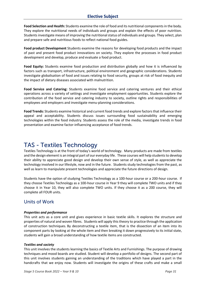**Food Selection and Health:** Students examine the role of food and its nutritional components in the body. They explore the nutritional needs of individuals and groups and explain the effects of poor nutrition. Students investigate means of improving the nutritional status of individuals and groups. They select, plan and prepare safe and nutritious foods to reflect national food guides.

**Food product Development** Students examine the reasons for developing food products and the impact of past and present food product innovations on society. They explore the processes in food product development and develop, produce and evaluate a food product.

**Food Equity:** Students examine food production and distribution globally and how it is influenced by factors such as transport, infrastructure, political environment and geographic considerations. Students investigate globalisation of food and issues relating to food security, groups at risk of food inequity and the impact of dietary diseases associated with malnutrition.

**Food Service and Catering:** Students examine food service and catering ventures and their ethical operations across a variety of settings and investigate employment opportunities. Students explore the contribution of the food service and catering industry to society, outline rights and responsibilities of employees and employers and investigate menu-planning considerations.

**Food Trends:** Students examine historical and current food trends and explore factors that influence their appeal and acceptability. Students discuss issues surrounding food sustainability and emerging technologies within the food industry. Students assess the role of the media, investigate trends in food presentation and examine factor-influencing acceptance of food trends.

# <span id="page-31-0"></span>**TAS - Textiles Technology**

Textiles Technology is at the front of today's world of technology. Many products are made from textiles and the design element is an integral part of our everyday life. These courses will help students to develop their ability to appreciate good design and develop their own sense of style, as well as appreciate the technology involved in our lifestyle, now and in the future. Students study technologies from the past, as well as learn to manipulate present technologies and appreciate the future directions of design.

Students have the option of studying Textiles Technology as a 100-hour course or a 200-hour course. If they choose Textiles Technology as a 100-hour course in Year 9 they will complete TWO units and if they choose it in Year 10, they will also complete TWO units. If they choose it as a 200 course, they will complete all FOUR units.

## Units of Work

#### *Properties and performance*

This unit acts as a core unit and gives experience in basic textile skills. It explores the structure and properties of natural and woven fibres. Students will apply this theory to practice through the application of construction techniques. By deconstructing a textile item, that is the dissection of an item into its component parts by looking at the whole item and then breaking it down progressively to its initial state, students will gain a broad understanding of how textile items are constructed.

#### *Textiles and society*

This unit involves the students learning the basics of Textile Arts and Furnishings. The purpose of drawing techniques and mood boards are studied. Student will develop a portfolio of designs. The second part of this unit involves students gaining an understanding of the traditions which have played a part in the handcrafts that we enjoy now. Students will investigate the origins of these crafts and make a small